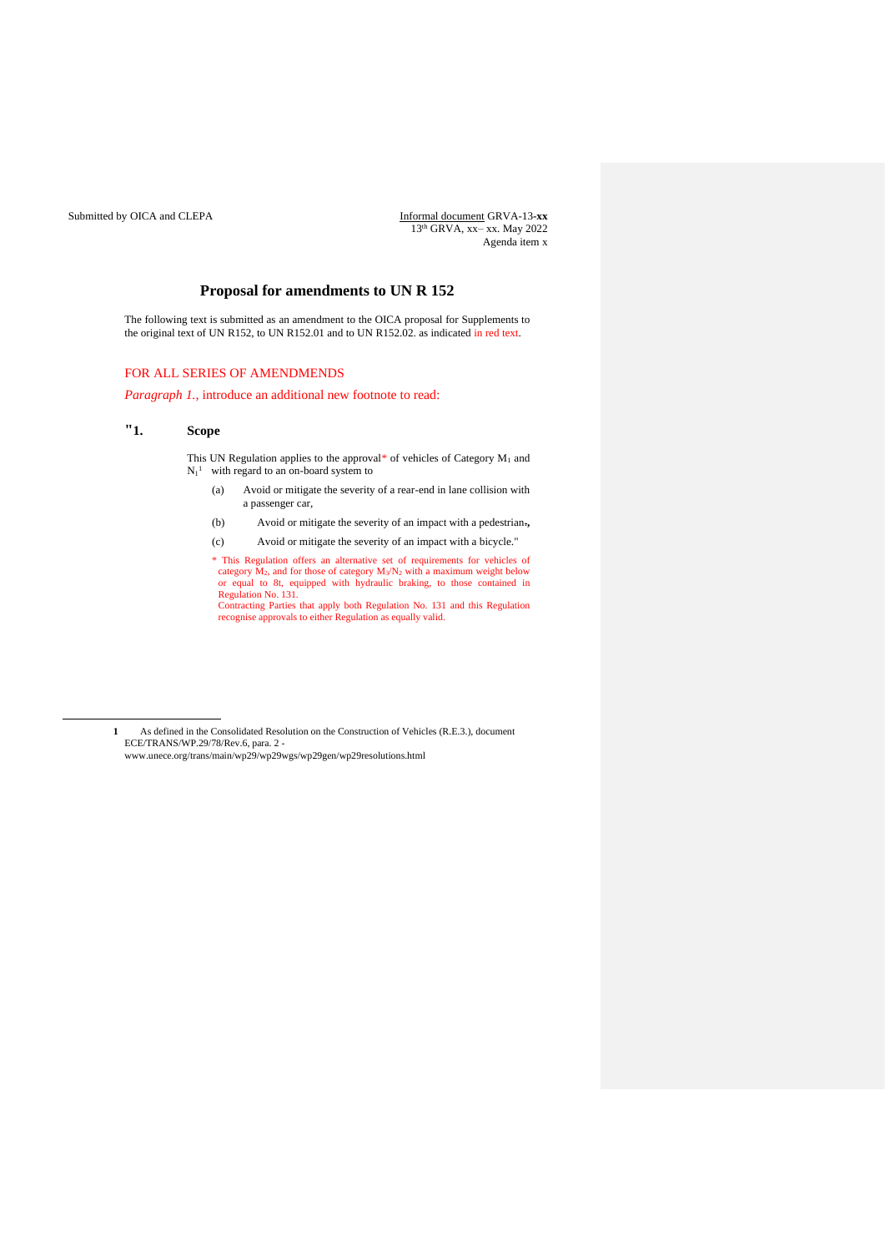Submitted by OICA and CLEPA **Informal document GRVA-13-xx** 13 th GRVA, xx– xx. May 2022 Agenda item x

# **Proposal for amendments to UN R 152**

The following text is submitted as an amendment to the OICA proposal for Supplements to the original text of UN R152, to UN R152.01 and to UN R152.02. as indicated in red text.

## FOR ALL SERIES OF AMENDMENDS

*Paragraph 1.,* introduce an additional new footnote to read:

## **"1. Scope**

This UN Regulation applies to the approval\* of vehicles of Category  $M_1$  and  $N_1$ <sup>1</sup> with regard to an on-board system to

- (a) Avoid or mitigate the severity of a rear-end in lane collision with a passenger car,
- (b) Avoid or mitigate the severity of an impact with a pedestrian.**,**
- (c) Avoid or mitigate the severity of an impact with a bicycle."

\* This Regulation offers an alternative set of requirements for vehicles of category M2, and for those of category M3/N<sup>2</sup> with a maximum weight below or equal to 8t, equipped with hydraulic braking, to those contained in Regulation No. 131. Contracting Parties that apply both Regulation No. 131 and this Regulation recognise approvals to either Regulation as equally valid.

**<sup>1</sup>** As defined in the Consolidated Resolution on the Construction of Vehicles (R.E.3.), document ECE/TRANS/WP.29/78/Rev.6, para. 2 www.unece.org/trans/main/wp29/wp29wgs/wp29gen/wp29resolutions.html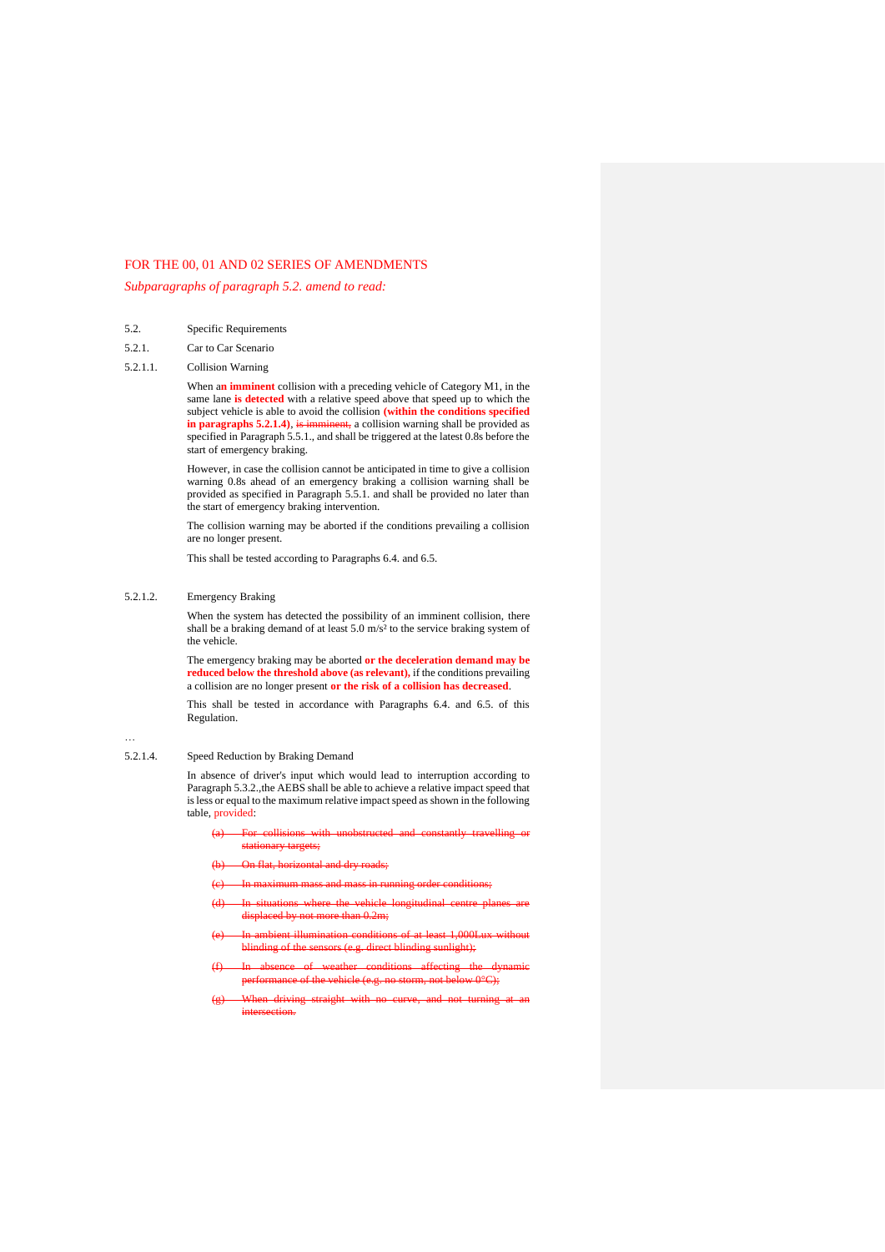## FOR THE 00, 01 AND 02 SERIES OF AMENDMENTS

*Subparagraphs of paragraph 5.2. amend to read:*

- 5.2. Specific Requirements
- 5.2.1. Car to Car Scenario
- 5.2.1.1. Collision Warning

When a**n imminent** collision with a preceding vehicle of Category M1, in the same lane **is detected** with a relative speed above that speed up to which the subject vehicle is able to avoid the collision **(within the conditions specified**  in paragraphs 5.2.1.4), is imminent, a collision warning shall be provided as specified in Paragraph 5.5.1., and shall be triggered at the latest 0.8s before the start of emergency braking.

However, in case the collision cannot be anticipated in time to give a collision warning 0.8s ahead of an emergency braking a collision warning shall be provided as specified in Paragraph 5.5.1. and shall be provided no later than the start of emergency braking intervention.

The collision warning may be aborted if the conditions prevailing a collision are no longer present.

This shall be tested according to Paragraphs 6.4. and 6.5.

### 5.2.1.2. Emergency Braking

When the system has detected the possibility of an imminent collision, there shall be a braking demand of at least 5.0 m/s² to the service braking system of the vehicle.

The emergency braking may be aborted **or the deceleration demand may be reduced below the threshold above (as relevant),** if the conditions prevailing a collision are no longer present **or the risk of a collision has decreased**.

This shall be tested in accordance with Paragraphs 6.4. and 6.5. of this Regulation.

# …

5.2.1.4. Speed Reduction by Braking Demand

In absence of driver's input which would lead to interruption according to Paragraph 5.3.2., the AEBS shall be able to achieve a relative impact speed that is less or equal to the maximum relative impact speed as shown in the following table, provided:

- (a) For collisions with unobstructed and constantly travelling or stationary targets;
- (b) On flat, horizontal and dry roads;
- (c) In maximum mass and mass in running order conditions;
- (d) In situations where the vehicle longitudinal centre planes are displaced by not more than 0.2m;
- (e) In ambient illumination conditions of at least 1,000Lux without blinding of the sensors (e.g. direct blinding sunlight);
- (f) In absence of weather conditions affecting the dynamic performance of the vehicle (e.g. no storm, not below 0°C);
- (g) When driving straight with no curve, and not turning at an intersection.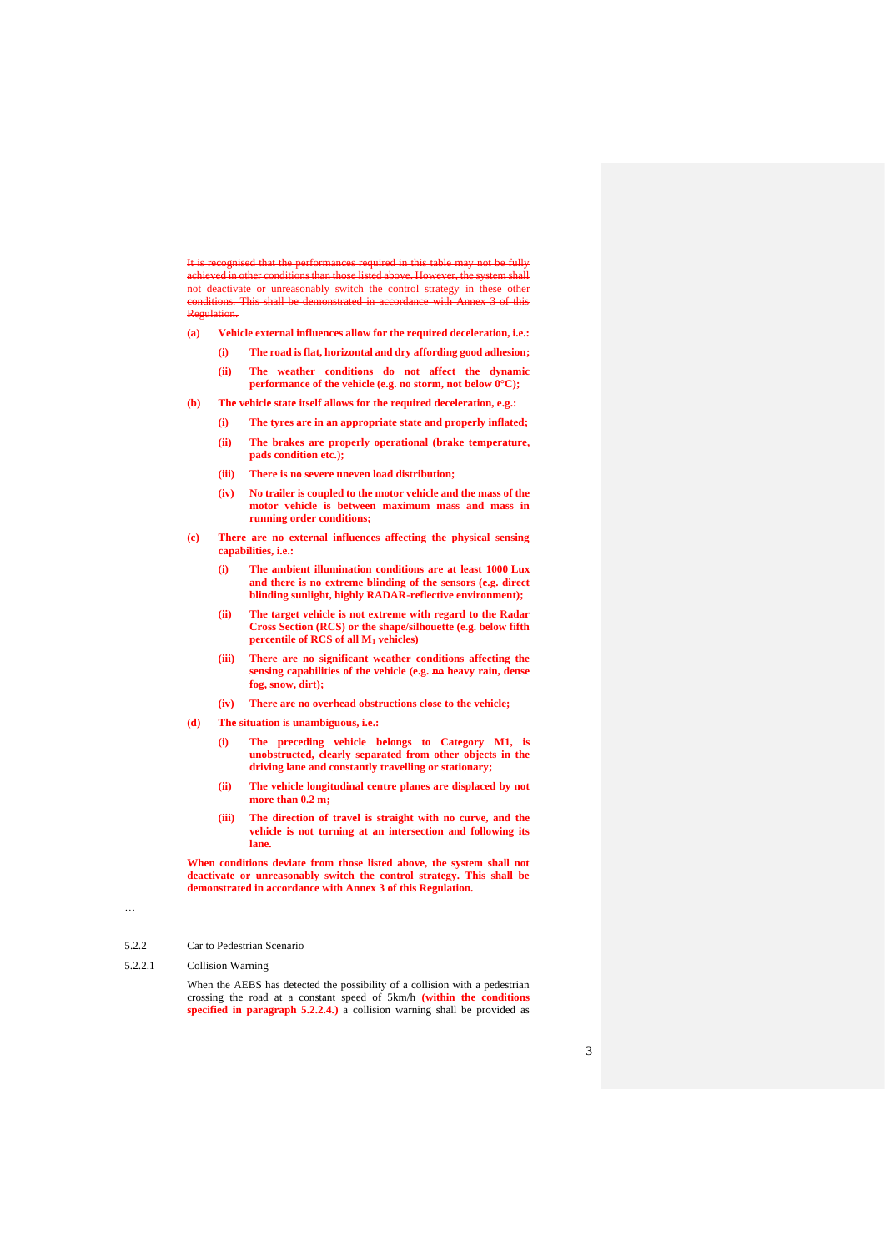It is recognised that the performances required in this table may not be fully achieved in other conditions than those listed above. However, the system shall not deactivate or unreasonably switch the control strategy in these other conditions. This shall be demonstrated in accordance with Annex 3 of this Regulation.

- **(a) Vehicle external influences allow for the required deceleration, i.e.:** 
	- **(i) The road is flat, horizontal and dry affording good adhesion; (ii) The weather conditions do not affect the dynamic**
	- **performance of the vehicle (e.g. no storm, not below**  $0^{\circ}$ **C);**
- **(b) The vehicle state itself allows for the required deceleration, e.g.:** 
	- **(i) The tyres are in an appropriate state and properly inflated;**
	- **(ii) The brakes are properly operational (brake temperature, pads condition etc.);**
	- **(iii) There is no severe uneven load distribution;**
	- **(iv) No trailer is coupled to the motor vehicle and the mass of the motor vehicle is between maximum mass and mass in running order conditions;**
- **(c) There are no external influences affecting the physical sensing capabilities, i.e.:** 
	- **(i) The ambient illumination conditions are at least 1000 Lux and there is no extreme blinding of the sensors (e.g. direct blinding sunlight, highly RADAR-reflective environment);**
	- **(ii) The target vehicle is not extreme with regard to the Radar Cross Section (RCS) or the shape/silhouette (e.g. below fifth percentile of RCS of all M<sup>1</sup> vehicles)**
	- **(iii) There are no significant weather conditions affecting the sensing capabilities of the vehicle (e.g. no heavy rain, dense fog, snow, dirt);**
	- **(iv) There are no overhead obstructions close to the vehicle;**
- **(d) The situation is unambiguous, i.e.:** 
	- **(i) The preceding vehicle belongs to Category M1, is unobstructed, clearly separated from other objects in the driving lane and constantly travelling or stationary;**
	- **(ii) The vehicle longitudinal centre planes are displaced by not more than 0.2 m;**
	- **(iii) The direction of travel is straight with no curve, and the vehicle is not turning at an intersection and following its lane.**

**When conditions deviate from those listed above, the system shall not deactivate or unreasonably switch the control strategy. This shall be demonstrated in accordance with Annex 3 of this Regulation.**

### …

- 5.2.2 Car to Pedestrian Scenario
- 5.2.2.1 Collision Warning

When the AEBS has detected the possibility of a collision with a pedestrian crossing the road at a constant speed of 5km/h **(within the conditions specified in paragraph 5.2.2.4.**) a collision warning shall be provided as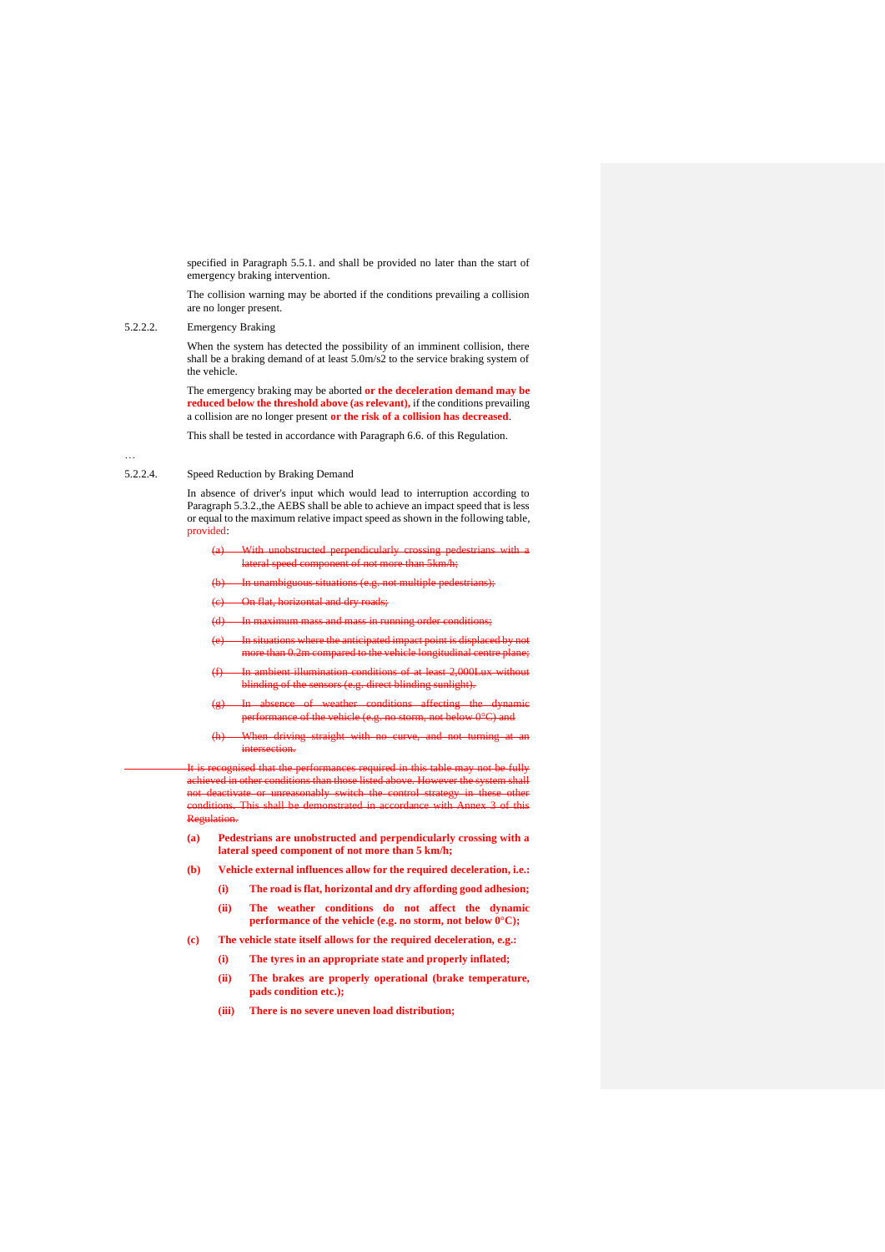specified in Paragraph 5.5.1. and shall be provided no later than the start of emergency braking intervention.

The collision warning may be aborted if the conditions prevailing a collision are no longer present.

5.2.2.2. Emergency Braking

…

When the system has detected the possibility of an imminent collision, there shall be a braking demand of at least 5.0m/s2 to the service braking system of the vehicle.

The emergency braking may be aborted **or the deceleration demand may be reduced below the threshold above (as relevant),** if the conditions prevailing a collision are no longer present **or the risk of a collision has decreased**.

This shall be tested in accordance with Paragraph 6.6. of this Regulation.

## 5.2.2.4. Speed Reduction by Braking Demand

In absence of driver's input which would lead to interruption according to Paragraph 5.3.2., the AEBS shall be able to achieve an impact speed that is less or equal to the maximum relative impact speed as shown in the following table, provided:

- (a) With unobstructed perpendicularly crossing pedestrians with a lateral speed component of not more than 5km/h;
- (b) In unambiguous situations (e.g. not multiple pedestrians);
- (c) On flat, horizontal and dry roads;
- (d) In maximum mass and mass in running order conditions;
- (e) In situations where the anticipated impact point is displaced by not more than 0.2m compared to the vehicle longitudinal centre plane;
- (f) In ambient illumination conditions of at least 2,000Lux without blinding of the sensors (e.g. direct blinding sunlight).
- (g) In absence of weather conditions affecting the dynamic performance of the vehicle (e.g. no storm, not below 0°C) and
- (h) When driving straight with no curve, and not turning at an intersection.

It is recognised that the performances required in this table may not be fully achieved in other conditions than those listed above. However the system shall not deactivate or unreasonably switch the control strategy in these other conditions. This shall be demonstrated in accordance with Annex 3 of this Regulation.

- **(a) Pedestrians are unobstructed and perpendicularly crossing with a lateral speed component of not more than 5 km/h;**
- **(b) Vehicle external influences allow for the required deceleration, i.e.:**
	- **(i) The road is flat, horizontal and dry affording good adhesion;**
	- **(ii) The weather conditions do not affect the dynamic performance of the vehicle (e.g. no storm, not below 0°C);**
- **(c) The vehicle state itself allows for the required deceleration, e.g.:** 
	- **(i) The tyres in an appropriate state and properly inflated;**
		- **(ii) The brakes are properly operational (brake temperature, pads condition etc.);**
		- **(iii) There is no severe uneven load distribution;**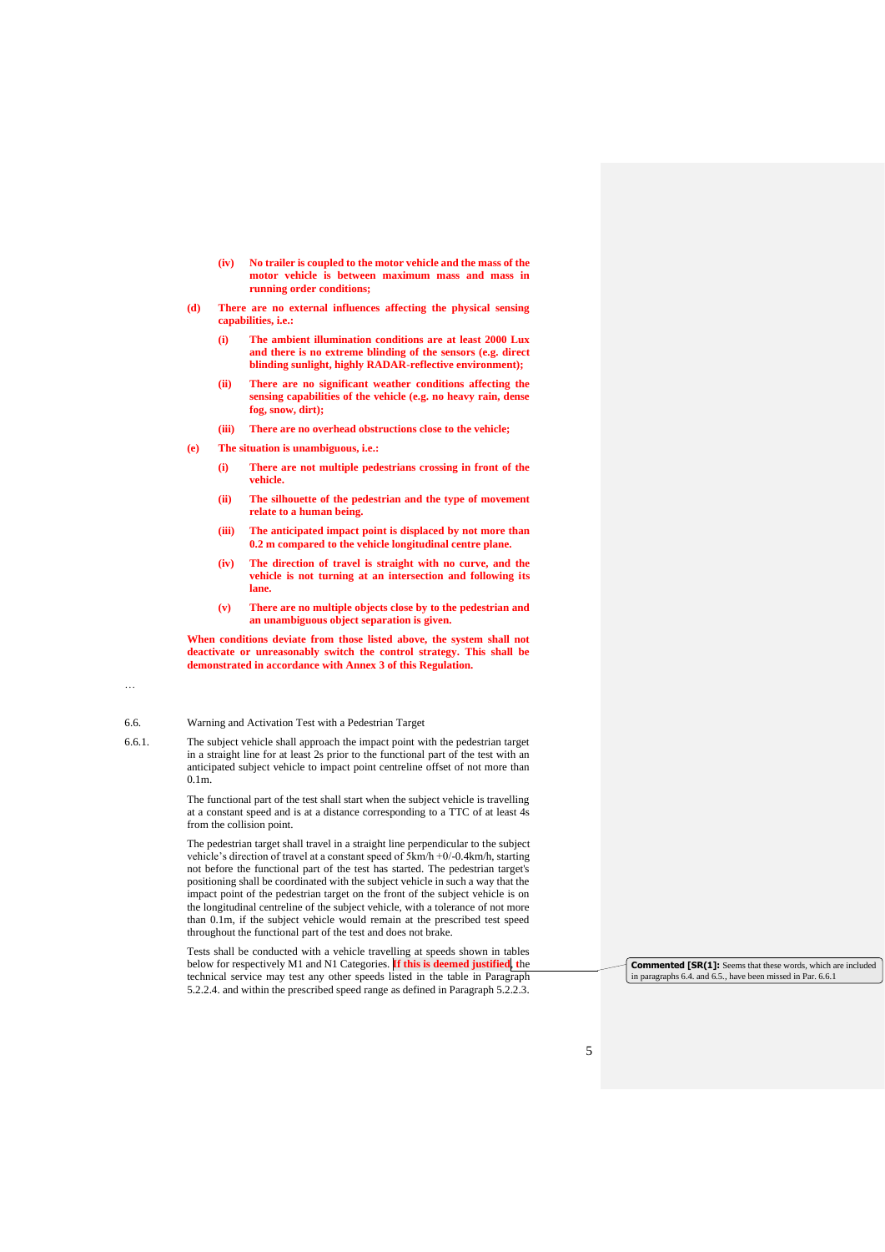- **(iv) No trailer is coupled to the motor vehicle and the mass of the motor vehicle is between maximum mass and mass in running order conditions;**
- **(d) There are no external influences affecting the physical sensing capabilities, i.e.:** 
	- **(i) The ambient illumination conditions are at least 2000 Lux and there is no extreme blinding of the sensors (e.g. direct blinding sunlight, highly RADAR-reflective environment);**
	- **(ii) There are no significant weather conditions affecting the sensing capabilities of the vehicle (e.g. no heavy rain, dense fog, snow, dirt);**
	- **(iii) There are no overhead obstructions close to the vehicle;**
- **(e) The situation is unambiguous, i.e.:**
	- **(i) There are not multiple pedestrians crossing in front of the vehicle.**
	- **(ii) The silhouette of the pedestrian and the type of movement relate to a human being.**
	- **(iii) The anticipated impact point is displaced by not more than 0.2 m compared to the vehicle longitudinal centre plane.**
	- **(iv) The direction of travel is straight with no curve, and the vehicle is not turning at an intersection and following its lane.**
	- **(v) There are no multiple objects close by to the pedestrian and an unambiguous object separation is given.**

**When conditions deviate from those listed above, the system shall not deactivate or unreasonably switch the control strategy. This shall be demonstrated in accordance with Annex 3 of this Regulation.**

### …

#### 6.6. Warning and Activation Test with a Pedestrian Target

6.6.1. The subject vehicle shall approach the impact point with the pedestrian target in a straight line for at least 2s prior to the functional part of the test with an anticipated subject vehicle to impact point centreline offset of not more than 0.1m.

> The functional part of the test shall start when the subject vehicle is travelling at a constant speed and is at a distance corresponding to a TTC of at least 4s from the collision point.

> The pedestrian target shall travel in a straight line perpendicular to the subject vehicle's direction of travel at a constant speed of 5km/h +0/-0.4km/h, starting not before the functional part of the test has started. The pedestrian target's positioning shall be coordinated with the subject vehicle in such a way that the impact point of the pedestrian target on the front of the subject vehicle is on the longitudinal centreline of the subject vehicle, with a tolerance of not more than 0.1m, if the subject vehicle would remain at the prescribed test speed throughout the functional part of the test and does not brake.

Tests shall be conducted with a vehicle travelling at speeds shown in tables below for respectively M1 and N1 Categories. **If this is deemed justified**, **t**he technical service may test any other speeds listed in the table in Paragraph 5.2.2.4. and within the prescribed speed range as defined in Paragraph 5.2.2.3.

**Commented [SR(1]:** Seems that these words, which are included in paragraphs 6.4. and 6.5., have been missed in Par. 6.6.1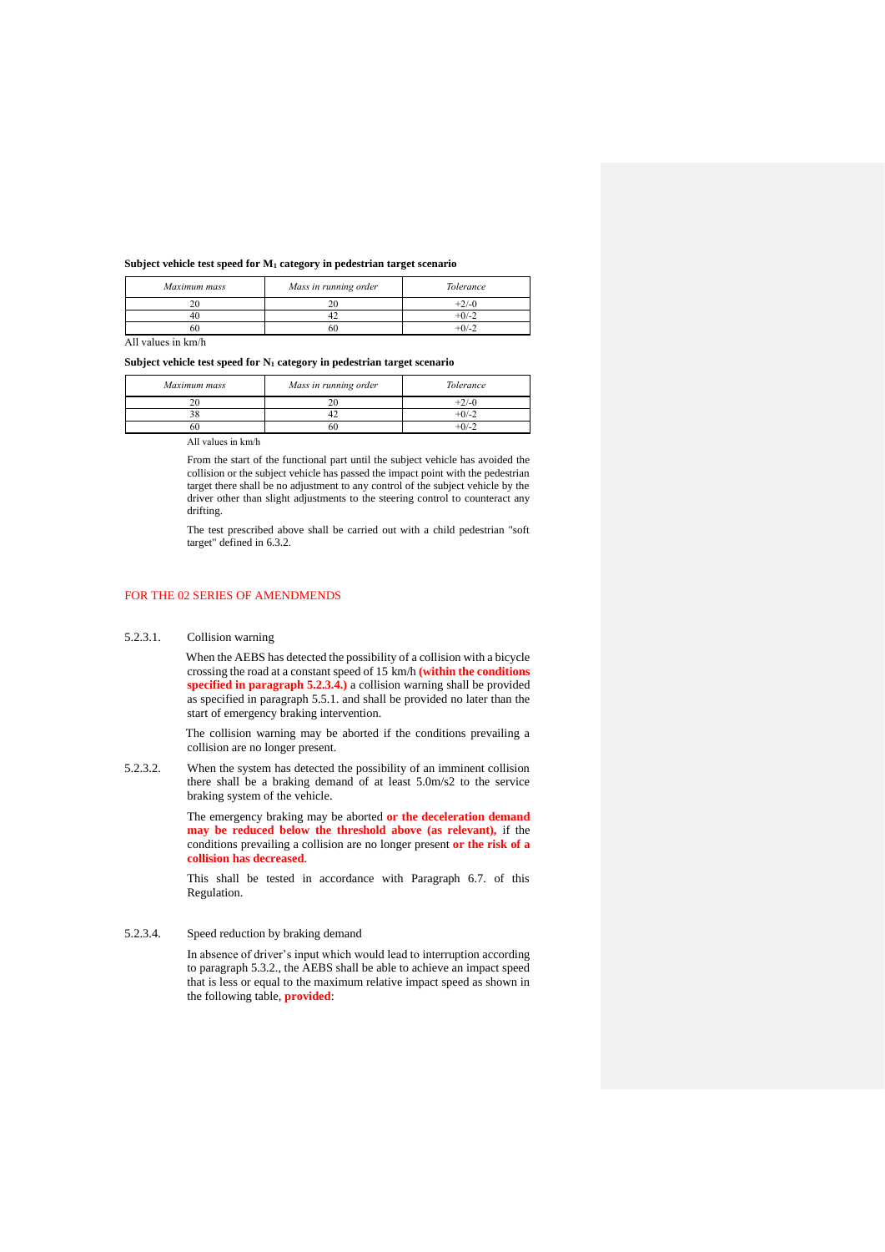#### **Subject vehicle test speed for M<sup>1</sup> category in pedestrian target scenario**

| Maximum mass | Mass in running order | Tolerance |
|--------------|-----------------------|-----------|
|              | $\sim$                |           |
|              |                       | -0/-      |
|              | 6С                    | -0/-      |

All values in km/h

#### **Subject vehicle test speed for N<sup>1</sup> category in pedestrian target scenario**

| Maximum mass | Mass in running order | Tolerance |
|--------------|-----------------------|-----------|
|              |                       | -2/-0     |
|              |                       | $+0/-2$   |
|              |                       |           |

All values in km/h

From the start of the functional part until the subject vehicle has avoided the collision or the subject vehicle has passed the impact point with the pedestrian target there shall be no adjustment to any control of the subject vehicle by the driver other than slight adjustments to the steering control to counteract any drifting.

The test prescribed above shall be carried out with a child pedestrian "soft target" defined in 6.3.2.

### FOR THE 02 SERIES OF AMENDMENDS

#### 5.2.3.1. Collision warning

When the AEBS has detected the possibility of a collision with a bicycle crossing the road at a constant speed of 15 km/h **(within the conditions specified in paragraph 5.2.3.4.)** a collision warning shall be provided as specified in paragraph 5.5.1. and shall be provided no later than the start of emergency braking intervention.

The collision warning may be aborted if the conditions prevailing a collision are no longer present.

5.2.3.2. When the system has detected the possibility of an imminent collision there shall be a braking demand of at least 5.0m/s2 to the service braking system of the vehicle.

> The emergency braking may be aborted **or the deceleration demand may be reduced below the threshold above (as relevant),** if the conditions prevailing a collision are no longer present **or the risk of a collision has decreased**.

> This shall be tested in accordance with Paragraph 6.7. of this Regulation.

5.2.3.4. Speed reduction by braking demand

In absence of driver's input which would lead to interruption according to paragraph 5.3.2., the AEBS shall be able to achieve an impact speed that is less or equal to the maximum relative impact speed as shown in the following table, **provided**: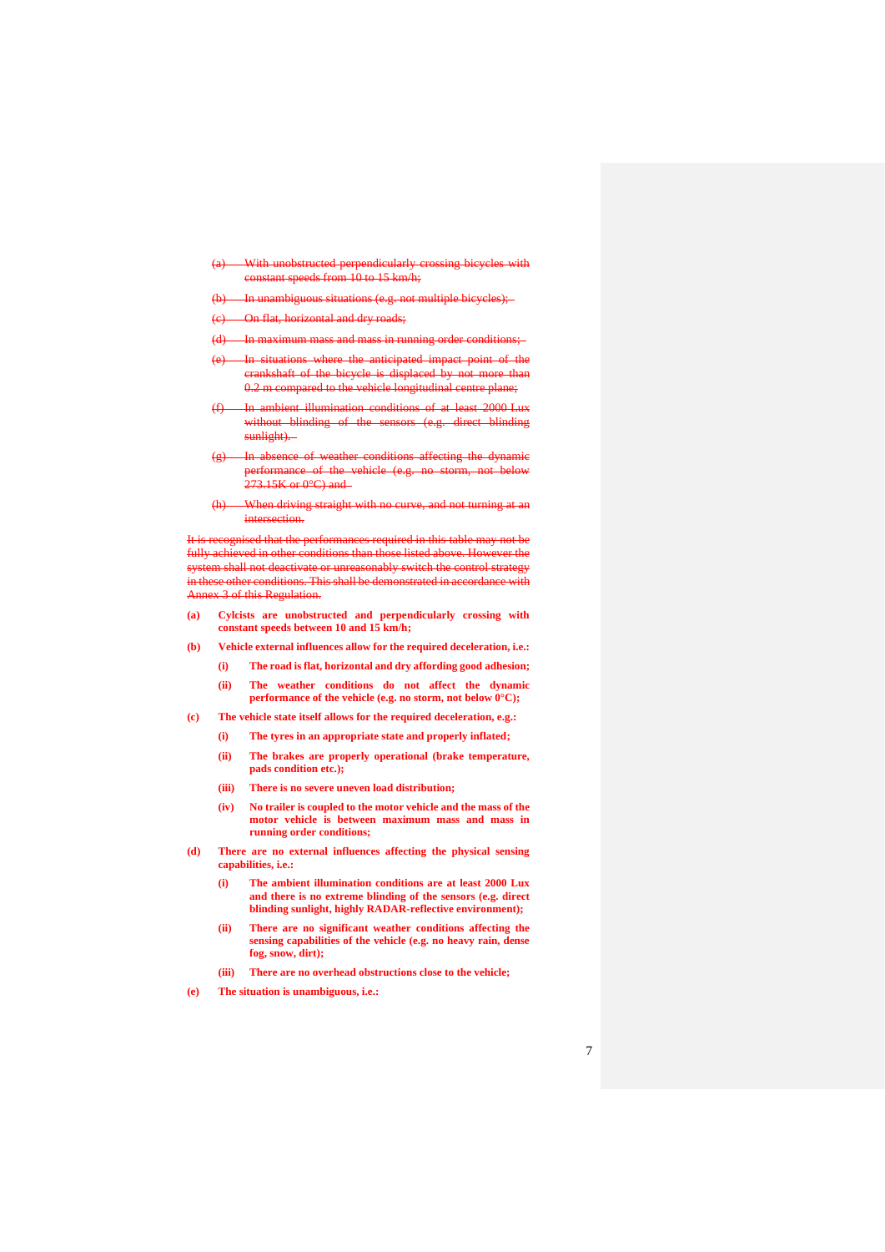- (a) With unobstructed perpendicularly crossing bicycles with  $10 \text{ to } 15$  km/h;
- ambiguous situations (e.g. not multiple bicycles);
- (c) On flat, horizontal and dry roads;
- (d) In maximum mass and mass in running order conditions
- (e) In situations where the anticipated impact point of the rankshaft of the bicycle is displaced by not more than 0.2 m compared to the vehicle longitudinal centre plane;
- (f) In ambient illumination conditions of at least 2000 Lux without blinding of sunlight).
- In absence of weather conditions affecting the dynamic performance of the vehicle (e.g. no storm, not below  $273.15$ K or  $0^{\circ}$ C) and
- (h) When driving straight with no curve, and not turning at an intersection.

sed that the performances required in this table may not be fully achieved in other conditions than those listed above. However the system shall not deactivate or unreasonably switch the control strategy in these other conditions. This shall be demonstrated in accordance with Annex 3 of this Regulati

- **(a) Cylcists are unobstructed and perpendicularly crossing with constant speeds between 10 and 15 km/h;**
- **(b) Vehicle external influences allow for the required deceleration, i.e.:**
	- **(i) The road is flat, horizontal and dry affording good adhesion; (ii) The weather conditions do not affect the dynamic performance of the vehicle (e.g. no storm, not below 0°C);**
- **(c) The vehicle state itself allows for the required deceleration, e.g.:** 
	- **(i) The tyres in an appropriate state and properly inflated;**
	- **(ii) The brakes are properly operational (brake temperature, pads condition etc.);**
	- **(iii) There is no severe uneven load distribution;**
	- **(iv) No trailer is coupled to the motor vehicle and the mass of the motor vehicle is between maximum mass and mass in running order conditions;**
- **(d) There are no external influences affecting the physical sensing capabilities, i.e.:** 
	- **(i) The ambient illumination conditions are at least 2000 Lux and there is no extreme blinding of the sensors (e.g. direct blinding sunlight, highly RADAR-reflective environment);**
	- **(ii) There are no significant weather conditions affecting the sensing capabilities of the vehicle (e.g. no heavy rain, dense fog, snow, dirt);**
	- **(iii) There are no overhead obstructions close to the vehicle;**
- **(e) The situation is unambiguous, i.e.:**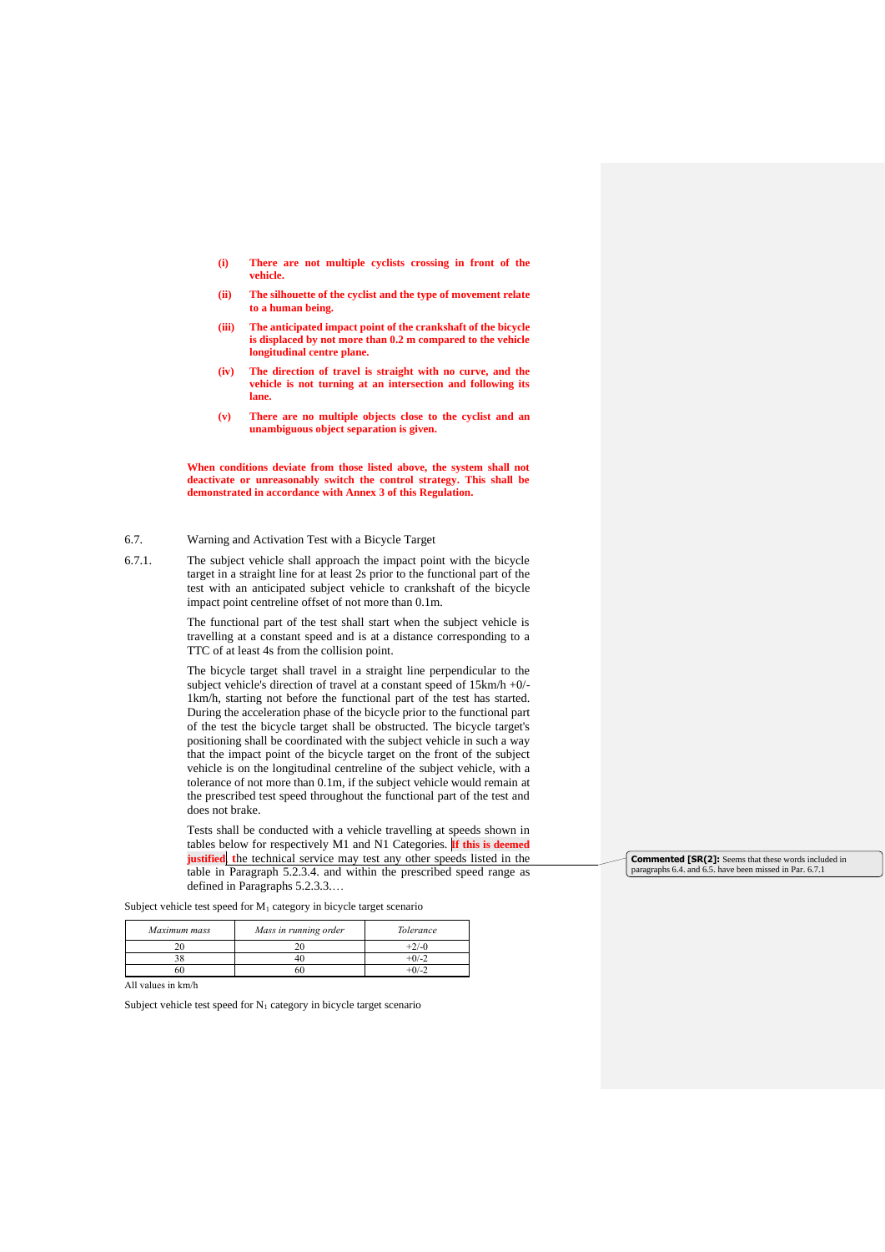- **(i) There are not multiple cyclists crossing in front of the vehicle.**
- **(ii) The silhouette of the cyclist and the type of movement relate to a human being.**
- **(iii) The anticipated impact point of the crankshaft of the bicycle is displaced by not more than 0.2 m compared to the vehicle longitudinal centre plane.**
- **(iv) The direction of travel is straight with no curve, and the vehicle is not turning at an intersection and following its lane.**
- **(v) There are no multiple objects close to the cyclist and an unambiguous object separation is given.**

**When conditions deviate from those listed above, the system shall not deactivate or unreasonably switch the control strategy. This shall be demonstrated in accordance with Annex 3 of this Regulation.**

## 6.7. Warning and Activation Test with a Bicycle Target

6.7.1. The subject vehicle shall approach the impact point with the bicycle target in a straight line for at least 2s prior to the functional part of the test with an anticipated subject vehicle to crankshaft of the bicycle impact point centreline offset of not more than 0.1m.

> The functional part of the test shall start when the subject vehicle is travelling at a constant speed and is at a distance corresponding to a TTC of at least 4s from the collision point.

> The bicycle target shall travel in a straight line perpendicular to the subject vehicle's direction of travel at a constant speed of 15km/h +0/- 1km/h, starting not before the functional part of the test has started. During the acceleration phase of the bicycle prior to the functional part of the test the bicycle target shall be obstructed. The bicycle target's positioning shall be coordinated with the subject vehicle in such a way that the impact point of the bicycle target on the front of the subject vehicle is on the longitudinal centreline of the subject vehicle, with a tolerance of not more than 0.1m, if the subject vehicle would remain at the prescribed test speed throughout the functional part of the test and does not brake.

> Tests shall be conducted with a vehicle travelling at speeds shown in tables below for respectively M1 and N1 Categories. **If this is deemed justified**, **t**he technical service may test any other speeds listed in the table in Paragraph 5.2.3.4. and within the prescribed speed range as defined in Paragraphs 5.2.3.3.…

Subject vehicle test speed for  $M_1$  category in bicycle target scenario

| Maximum mass | Mass in running order | Tolerance |
|--------------|-----------------------|-----------|
| 20           |                       | $+2/-0$   |
| n c          |                       | $+0/-2$   |
|              |                       | -04-      |

All values in km/h

Subject vehicle test speed for  $N_1$  category in bicycle target scenario

**Commented [SR(2]:** Seems that these words included in paragraphs 6.4. and 6.5. have been missed in Par. 6.7.1